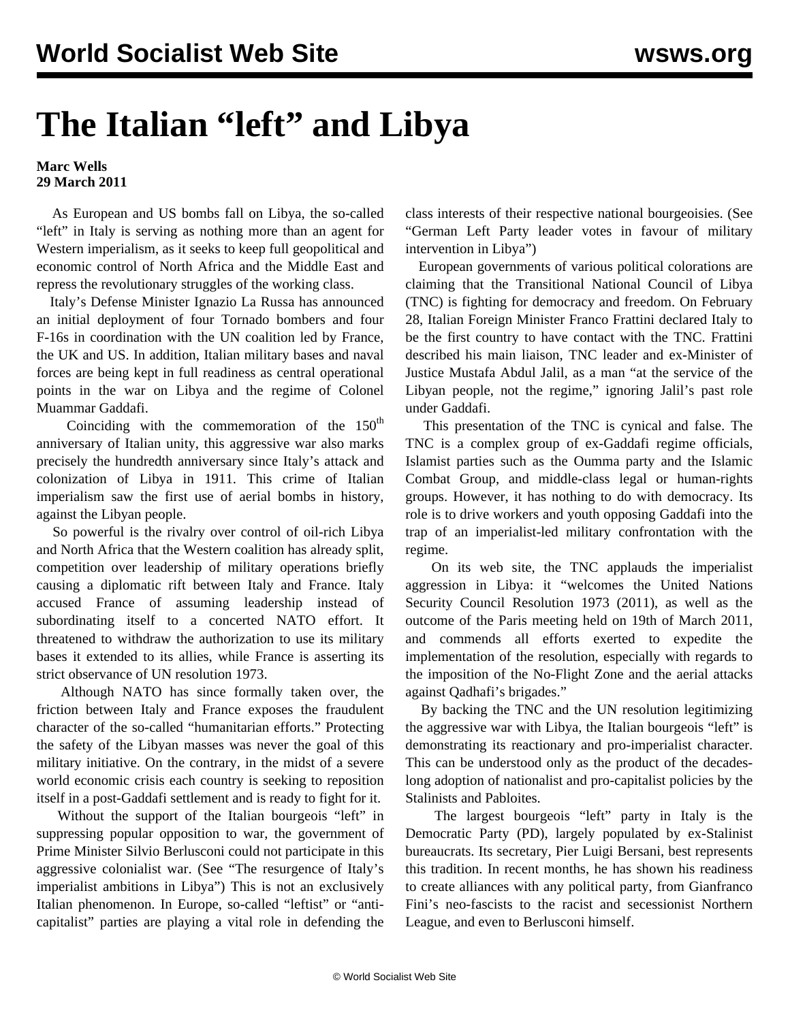## **The Italian "left" and Libya**

## **Marc Wells 29 March 2011**

 As European and US bombs fall on Libya, the so-called "left" in Italy is serving as nothing more than an agent for Western imperialism, as it seeks to keep full geopolitical and economic control of North Africa and the Middle East and repress the revolutionary struggles of the working class.

 Italy's Defense Minister Ignazio La Russa has announced an initial deployment of four Tornado bombers and four F-16s in coordination with the UN coalition led by France, the UK and US. In addition, Italian military bases and naval forces are being kept in full readiness as central operational points in the war on Libya and the regime of Colonel Muammar Gaddafi.

Coinciding with the commemoration of the  $150<sup>th</sup>$ anniversary of Italian unity, this aggressive war also marks precisely the hundredth anniversary since Italy's attack and colonization of Libya in 1911. This crime of Italian imperialism saw the first use of aerial bombs in history, against the Libyan people.

 So powerful is the rivalry over control of oil-rich Libya and North Africa that the Western coalition has already split, competition over leadership of military operations briefly causing a diplomatic rift between Italy and France. Italy accused France of assuming leadership instead of subordinating itself to a concerted NATO effort. It threatened to withdraw the authorization to use its military bases it extended to its allies, while France is asserting its strict observance of UN resolution 1973.

 Although NATO has since formally taken over, the friction between Italy and France exposes the fraudulent character of the so-called "humanitarian efforts." Protecting the safety of the Libyan masses was never the goal of this military initiative. On the contrary, in the midst of a severe world economic crisis each country is seeking to reposition itself in a post-Gaddafi settlement and is ready to fight for it.

 Without the support of the Italian bourgeois "left" in suppressing popular opposition to war, the government of Prime Minister Silvio Berlusconi could not participate in this aggressive colonialist war. (See ["The resurgence of Italy's](/en/articles/2011/mar2011/ital-m10.shtml) [imperialist ambitions in Libya"\)](/en/articles/2011/mar2011/ital-m10.shtml) This is not an exclusively Italian phenomenon. In Europe, so-called "leftist" or "anticapitalist" parties are playing a vital role in defending the

class interests of their respective national bourgeoisies. (See ["German Left Party leader votes in favour of military](/en/articles/2011/mar2011/left-m19.shtml) [intervention in Libya"](/en/articles/2011/mar2011/left-m19.shtml))

 European governments of various political colorations are claiming that the Transitional National Council of Libya (TNC) is fighting for democracy and freedom. On February 28, Italian Foreign Minister Franco Frattini declared Italy to be the first country to have contact with the TNC. Frattini described his main liaison, TNC leader and ex-Minister of Justice Mustafa Abdul Jalil, as a man "at the service of the Libyan people, not the regime," ignoring Jalil's past role under Gaddafi.

 This presentation of the TNC is cynical and false. The TNC is a complex group of ex-Gaddafi regime officials, Islamist parties such as the Oumma party and the Islamic Combat Group, and middle-class legal or human-rights groups. However, it has nothing to do with democracy. Its role is to drive workers and youth opposing Gaddafi into the trap of an imperialist-led military confrontation with the regime.

 On its web site, the TNC applauds the imperialist aggression in Libya: it "welcomes the United Nations Security Council Resolution 1973 (2011), as well as the outcome of the Paris meeting held on 19th of March 2011, and commends all efforts exerted to expedite the implementation of the resolution, especially with regards to the imposition of the No-Flight Zone and the aerial attacks against Qadhafi's brigades."

 By backing the TNC and the UN resolution legitimizing the aggressive war with Libya, the Italian bourgeois "left" is demonstrating its reactionary and pro-imperialist character. This can be understood only as the product of the decadeslong adoption of nationalist and pro-capitalist policies by the Stalinists and Pabloites.

 The largest bourgeois "left" party in Italy is the Democratic Party (PD), largely populated by ex-Stalinist bureaucrats. Its secretary, Pier Luigi Bersani, best represents this tradition. In recent months, he has shown his readiness to create alliances with any political party, from Gianfranco Fini's neo-fascists to the racist and secessionist Northern League, and even to Berlusconi himself.